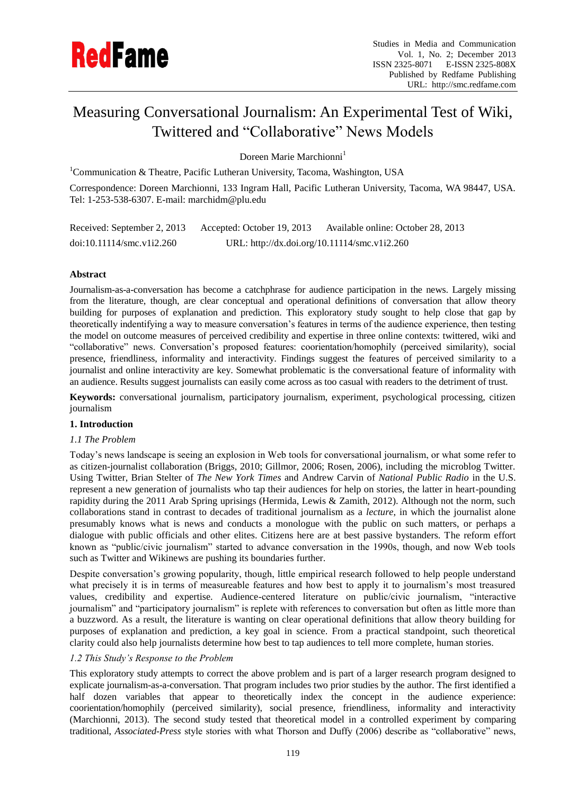# Measuring Conversational Journalism: An Experimental Test of Wiki, Twittered and "Collaborative" News Models

Doreen Marie Marchionni<sup>1</sup>

<sup>1</sup>Communication & Theatre, Pacific Lutheran University, Tacoma, Washington, USA

Correspondence: Doreen Marchionni, 133 Ingram Hall, Pacific Lutheran University, Tacoma, WA 98447, USA. Tel: 1-253-538-6307. E-mail: marchidm@plu.edu

Received: September 2, 2013 Accepted: October 19, 2013 Available online: October 28, 2013 doi:10.11114/smc.v1i2.260 URL: http://dx.doi.org/10.11114/smc.v1i2.260

# **Abstract**

Journalism-as-a-conversation has become a catchphrase for audience participation in the news. Largely missing from the literature, though, are clear conceptual and operational definitions of conversation that allow theory building for purposes of explanation and prediction. This exploratory study sought to help close that gap by theoretically indentifying a way to measure conversation"s features in terms of the audience experience, then testing the model on outcome measures of perceived credibility and expertise in three online contexts: twittered, wiki and "collaborative" news. Conversation"s proposed features: coorientation/homophily (perceived similarity), social presence, friendliness, informality and interactivity. Findings suggest the features of perceived similarity to a journalist and online interactivity are key. Somewhat problematic is the conversational feature of informality with an audience. Results suggest journalists can easily come across as too casual with readers to the detriment of trust.

**Keywords:** conversational journalism, participatory journalism, experiment, psychological processing, citizen journalism

# **1. Introduction**

# *1.1 The Problem*

Today"s news landscape is seeing an explosion in Web tools for conversational journalism, or what some refer to as citizen-journalist collaboration (Briggs, 2010; Gillmor, 2006; Rosen, 2006), including the microblog Twitter. Using Twitter, Brian Stelter of *The New York Times* and Andrew Carvin of *National Public Radio* in the U.S. represent a new generation of journalists who tap their audiences for help on stories, the latter in heart-pounding rapidity during the 2011 Arab Spring uprisings (Hermida, Lewis & Zamith, 2012). Although not the norm, such collaborations stand in contrast to decades of traditional journalism as a *lecture*, in which the journalist alone presumably knows what is news and conducts a monologue with the public on such matters, or perhaps a dialogue with public officials and other elites. Citizens here are at best passive bystanders. The reform effort known as "public/civic journalism" started to advance conversation in the 1990s, though, and now Web tools such as Twitter and Wikinews are pushing its boundaries further.

Despite conversation"s growing popularity, though, little empirical research followed to help people understand what precisely it is in terms of measureable features and how best to apply it to journalism"s most treasured values, credibility and expertise. Audience-centered literature on public/civic journalism, "interactive journalism" and "participatory journalism" is replete with references to conversation but often as little more than a buzzword. As a result, the literature is wanting on clear operational definitions that allow theory building for purposes of explanation and prediction, a key goal in science. From a practical standpoint, such theoretical clarity could also help journalists determine how best to tap audiences to tell more complete, human stories.

# *1.2 This Study's Response to the Problem*

This exploratory study attempts to correct the above problem and is part of a larger research program designed to explicate journalism-as-a-conversation. That program includes two prior studies by the author. The first identified a half dozen variables that appear to theoretically index the concept in the audience experience: coorientation/homophily (perceived similarity), social presence, friendliness, informality and interactivity (Marchionni, 2013). The second study tested that theoretical model in a controlled experiment by comparing traditional, *Associated-Press* style stories with what Thorson and Duffy (2006) describe as "collaborative" news,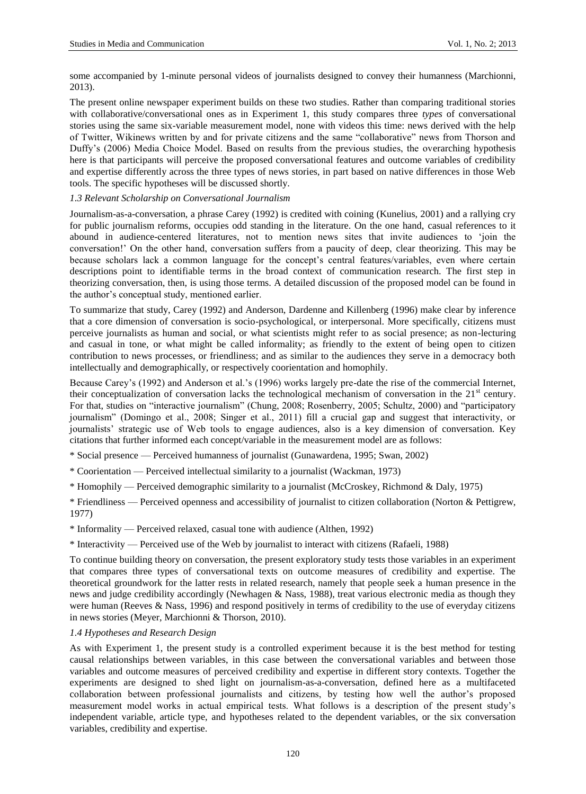some accompanied by 1-minute personal videos of journalists designed to convey their humanness (Marchionni, 2013).

The present online newspaper experiment builds on these two studies. Rather than comparing traditional stories with collaborative/conversational ones as in Experiment 1, this study compares three *types* of conversational stories using the same six-variable measurement model, none with videos this time: news derived with the help of Twitter, Wikinews written by and for private citizens and the same "collaborative" news from Thorson and Duffy"s (2006) Media Choice Model. Based on results from the previous studies, the overarching hypothesis here is that participants will perceive the proposed conversational features and outcome variables of credibility and expertise differently across the three types of news stories, in part based on native differences in those Web tools. The specific hypotheses will be discussed shortly.

# *1.3 Relevant Scholarship on Conversational Journalism*

Journalism-as-a-conversation, a phrase Carey (1992) is credited with coining (Kunelius, 2001) and a rallying cry for public journalism reforms, occupies odd standing in the literature. On the one hand, casual references to it abound in audience-centered literatures, not to mention news sites that invite audiences to "join the conversation!" On the other hand, conversation suffers from a paucity of deep, clear theorizing. This may be because scholars lack a common language for the concept's central features/variables, even where certain descriptions point to identifiable terms in the broad context of communication research. The first step in theorizing conversation, then, is using those terms. A detailed discussion of the proposed model can be found in the author"s conceptual study, mentioned earlier.

To summarize that study, Carey (1992) and Anderson, Dardenne and Killenberg (1996) make clear by inference that a core dimension of conversation is socio-psychological, or interpersonal. More specifically, citizens must perceive journalists as human and social, or what scientists might refer to as social presence; as non-lecturing and casual in tone, or what might be called informality; as friendly to the extent of being open to citizen contribution to news processes, or friendliness; and as similar to the audiences they serve in a democracy both intellectually and demographically, or respectively coorientation and homophily.

Because Carey's (1992) and Anderson et al.'s (1996) works largely pre-date the rise of the commercial Internet, their conceptualization of conversation lacks the technological mechanism of conversation in the  $21<sup>st</sup>$  century. For that, studies on "interactive journalism" (Chung, 2008; Rosenberry, 2005; Schultz, 2000) and "participatory journalism" (Domingo et al., 2008; Singer et al., 2011) fill a crucial gap and suggest that interactivity, or journalists" strategic use of Web tools to engage audiences, also is a key dimension of conversation. Key citations that further informed each concept/variable in the measurement model are as follows:

\* Social presence — Perceived humanness of journalist (Gunawardena, 1995; Swan, 2002)

- \* Coorientation Perceived intellectual similarity to a journalist (Wackman, 1973)
- \* Homophily Perceived demographic similarity to a journalist (McCroskey, Richmond & Daly, 1975)

\* Friendliness — Perceived openness and accessibility of journalist to citizen collaboration (Norton & Pettigrew, 1977)

\* Informality — Perceived relaxed, casual tone with audience (Althen, 1992)

\* Interactivity — Perceived use of the Web by journalist to interact with citizens (Rafaeli, 1988)

To continue building theory on conversation, the present exploratory study tests those variables in an experiment that compares three types of conversational texts on outcome measures of credibility and expertise. The theoretical groundwork for the latter rests in related research, namely that people seek a human presence in the news and judge credibility accordingly (Newhagen & Nass, 1988), treat various electronic media as though they were human (Reeves & Nass, 1996) and respond positively in terms of credibility to the use of everyday citizens in news stories (Meyer, Marchionni & Thorson, 2010).

## *1.4 Hypotheses and Research Design*

As with Experiment 1, the present study is a controlled experiment because it is the best method for testing causal relationships between variables, in this case between the conversational variables and between those variables and outcome measures of perceived credibility and expertise in different story contexts. Together the experiments are designed to shed light on journalism-as-a-conversation, defined here as a multifaceted collaboration between professional journalists and citizens, by testing how well the author"s proposed measurement model works in actual empirical tests. What follows is a description of the present study"s independent variable, article type, and hypotheses related to the dependent variables, or the six conversation variables, credibility and expertise.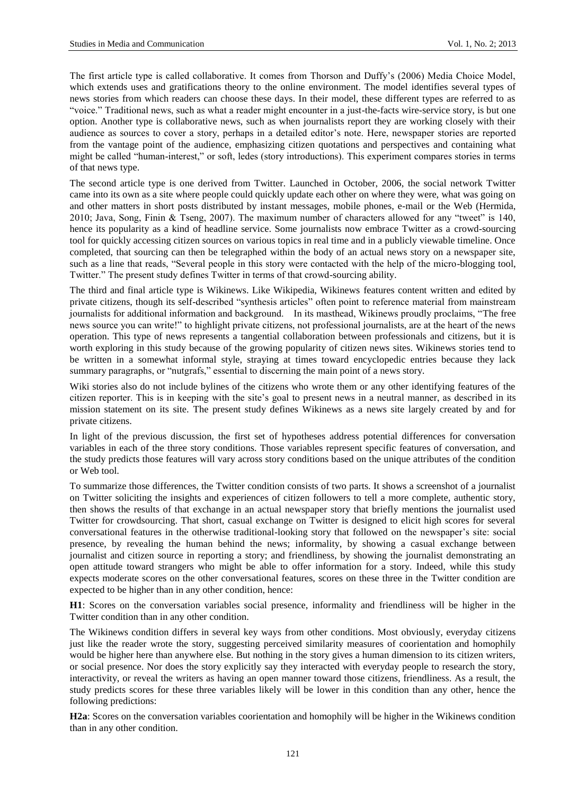The first article type is called collaborative. It comes from Thorson and Duffy's (2006) Media Choice Model, which extends uses and gratifications theory to the online environment. The model identifies several types of news stories from which readers can choose these days. In their model, these different types are referred to as "voice." Traditional news, such as what a reader might encounter in a just-the-facts wire-service story, is but one option. Another type is collaborative news, such as when journalists report they are working closely with their audience as sources to cover a story, perhaps in a detailed editor"s note. Here, newspaper stories are reported from the vantage point of the audience, emphasizing citizen quotations and perspectives and containing what might be called "human-interest," or soft, ledes (story introductions). This experiment compares stories in terms of that news type.

The second article type is one derived from Twitter. Launched in October, 2006, the social network Twitter came into its own as a site where people could quickly update each other on where they were, what was going on and other matters in short posts distributed by instant messages, mobile phones, e-mail or the Web (Hermida, 2010; Java, Song, Finin & Tseng, 2007). The maximum number of characters allowed for any "tweet" is 140, hence its popularity as a kind of headline service. Some journalists now embrace Twitter as a crowd-sourcing tool for quickly accessing citizen sources on various topics in real time and in a publicly viewable timeline. Once completed, that sourcing can then be telegraphed within the body of an actual news story on a newspaper site, such as a line that reads, "Several people in this story were contacted with the help of the micro-blogging tool, Twitter." The present study defines Twitter in terms of that crowd-sourcing ability.

The third and final article type is Wikinews. Like Wikipedia, Wikinews features content written and edited by private citizens, though its self-described "synthesis articles" often point to reference material from mainstream journalists for additional information and background. In its masthead, Wikinews proudly proclaims, "The free news source you can write!" to highlight private citizens, not professional journalists, are at the heart of the news operation. This type of news represents a tangential collaboration between professionals and citizens, but it is worth exploring in this study because of the growing popularity of citizen news sites. Wikinews stories tend to be written in a somewhat informal style, straying at times toward encyclopedic entries because they lack summary paragraphs, or "nutgrafs," essential to discerning the main point of a news story.

Wiki stories also do not include bylines of the citizens who wrote them or any other identifying features of the citizen reporter. This is in keeping with the site"s goal to present news in a neutral manner, as described in its mission statement on its site. The present study defines Wikinews as a news site largely created by and for private citizens.

In light of the previous discussion, the first set of hypotheses address potential differences for conversation variables in each of the three story conditions. Those variables represent specific features of conversation, and the study predicts those features will vary across story conditions based on the unique attributes of the condition or Web tool.

To summarize those differences, the Twitter condition consists of two parts. It shows a screenshot of a journalist on Twitter soliciting the insights and experiences of citizen followers to tell a more complete, authentic story, then shows the results of that exchange in an actual newspaper story that briefly mentions the journalist used Twitter for crowdsourcing. That short, casual exchange on Twitter is designed to elicit high scores for several conversational features in the otherwise traditional-looking story that followed on the newspaper"s site: social presence, by revealing the human behind the news; informality, by showing a casual exchange between journalist and citizen source in reporting a story; and friendliness, by showing the journalist demonstrating an open attitude toward strangers who might be able to offer information for a story. Indeed, while this study expects moderate scores on the other conversational features, scores on these three in the Twitter condition are expected to be higher than in any other condition, hence:

**H1**: Scores on the conversation variables social presence, informality and friendliness will be higher in the Twitter condition than in any other condition.

The Wikinews condition differs in several key ways from other conditions. Most obviously, everyday citizens just like the reader wrote the story, suggesting perceived similarity measures of coorientation and homophily would be higher here than anywhere else. But nothing in the story gives a human dimension to its citizen writers, or social presence. Nor does the story explicitly say they interacted with everyday people to research the story, interactivity, or reveal the writers as having an open manner toward those citizens, friendliness. As a result, the study predicts scores for these three variables likely will be lower in this condition than any other, hence the following predictions:

**H2a**: Scores on the conversation variables coorientation and homophily will be higher in the Wikinews condition than in any other condition.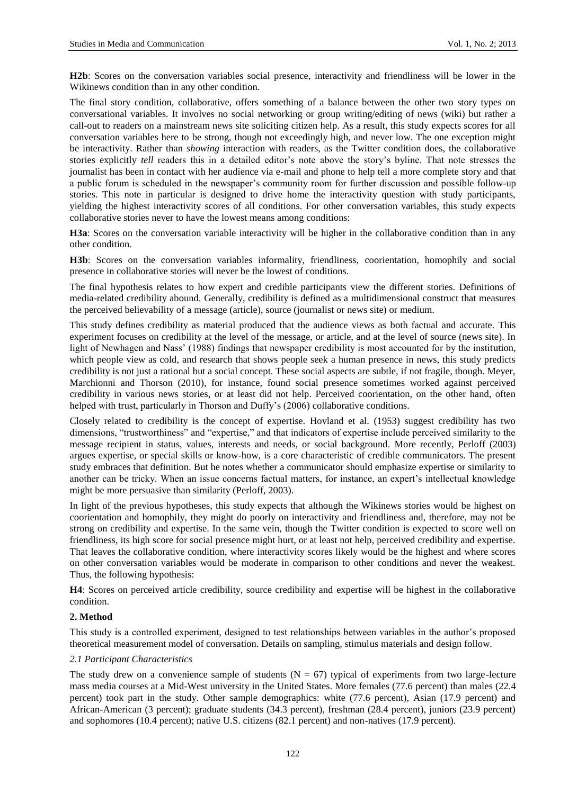**H2b**: Scores on the conversation variables social presence, interactivity and friendliness will be lower in the Wikinews condition than in any other condition.

The final story condition, collaborative, offers something of a balance between the other two story types on conversational variables. It involves no social networking or group writing/editing of news (wiki) but rather a call-out to readers on a mainstream news site soliciting citizen help. As a result, this study expects scores for all conversation variables here to be strong, though not exceedingly high, and never low. The one exception might be interactivity. Rather than *showing* interaction with readers, as the Twitter condition does, the collaborative stories explicitly *tell* readers this in a detailed editor's note above the story's byline. That note stresses the journalist has been in contact with her audience via e-mail and phone to help tell a more complete story and that a public forum is scheduled in the newspaper"s community room for further discussion and possible follow-up stories. This note in particular is designed to drive home the interactivity question with study participants, yielding the highest interactivity scores of all conditions. For other conversation variables, this study expects collaborative stories never to have the lowest means among conditions:

**H3a**: Scores on the conversation variable interactivity will be higher in the collaborative condition than in any other condition.

**H3b**: Scores on the conversation variables informality, friendliness, coorientation, homophily and social presence in collaborative stories will never be the lowest of conditions.

The final hypothesis relates to how expert and credible participants view the different stories. Definitions of media-related credibility abound. Generally, credibility is defined as a multidimensional construct that measures the perceived believability of a message (article), source (journalist or news site) or medium.

This study defines credibility as material produced that the audience views as both factual and accurate. This experiment focuses on credibility at the level of the message, or article, and at the level of source (news site). In light of Newhagen and Nass" (1988) findings that newspaper credibility is most accounted for by the institution, which people view as cold, and research that shows people seek a human presence in news, this study predicts credibility is not just a rational but a social concept. These social aspects are subtle, if not fragile, though. Meyer, Marchionni and Thorson (2010), for instance, found social presence sometimes worked against perceived credibility in various news stories, or at least did not help. Perceived coorientation, on the other hand, often helped with trust, particularly in Thorson and Duffy's (2006) collaborative conditions.

Closely related to credibility is the concept of expertise. Hovland et al. (1953) suggest credibility has two dimensions, "trustworthiness" and "expertise," and that indicators of expertise include perceived similarity to the message recipient in status, values, interests and needs, or social background. More recently, Perloff (2003) argues expertise, or special skills or know-how, is a core characteristic of credible communicators. The present study embraces that definition. But he notes whether a communicator should emphasize expertise or similarity to another can be tricky. When an issue concerns factual matters, for instance, an expert"s intellectual knowledge might be more persuasive than similarity (Perloff, 2003).

In light of the previous hypotheses, this study expects that although the Wikinews stories would be highest on coorientation and homophily, they might do poorly on interactivity and friendliness and, therefore, may not be strong on credibility and expertise. In the same vein, though the Twitter condition is expected to score well on friendliness, its high score for social presence might hurt, or at least not help, perceived credibility and expertise. That leaves the collaborative condition, where interactivity scores likely would be the highest and where scores on other conversation variables would be moderate in comparison to other conditions and never the weakest. Thus, the following hypothesis:

**H4**: Scores on perceived article credibility, source credibility and expertise will be highest in the collaborative condition.

## **2. Method**

This study is a controlled experiment, designed to test relationships between variables in the author"s proposed theoretical measurement model of conversation. Details on sampling, stimulus materials and design follow.

#### *2.1 Participant Characteristics*

The study drew on a convenience sample of students  $(N = 67)$  typical of experiments from two large-lecture mass media courses at a Mid-West university in the United States. More females (77.6 percent) than males (22.4 percent) took part in the study. Other sample demographics: white (77.6 percent), Asian (17.9 percent) and African-American (3 percent); graduate students (34.3 percent), freshman (28.4 percent), juniors (23.9 percent) and sophomores (10.4 percent); native U.S. citizens (82.1 percent) and non-natives (17.9 percent).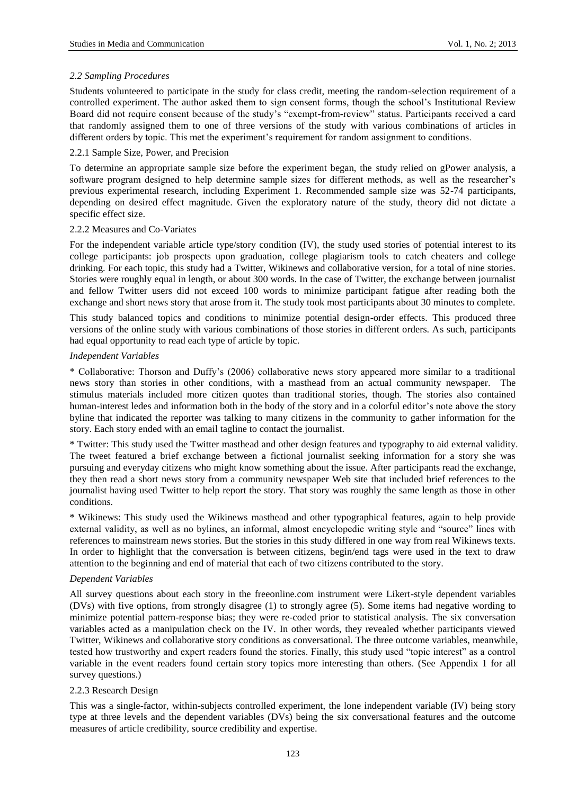# *2.2 Sampling Procedures*

Students volunteered to participate in the study for class credit, meeting the random-selection requirement of a controlled experiment. The author asked them to sign consent forms, though the school"s Institutional Review Board did not require consent because of the study"s "exempt-from-review" status. Participants received a card that randomly assigned them to one of three versions of the study with various combinations of articles in different orders by topic. This met the experiment's requirement for random assignment to conditions.

# 2.2.1 Sample Size, Power, and Precision

To determine an appropriate sample size before the experiment began, the study relied on gPower analysis, a software program designed to help determine sample sizes for different methods, as well as the researcher's previous experimental research, including Experiment 1. Recommended sample size was 52-74 participants, depending on desired effect magnitude. Given the exploratory nature of the study, theory did not dictate a specific effect size.

## 2.2.2 Measures and Co-Variates

For the independent variable article type/story condition (IV), the study used stories of potential interest to its college participants: job prospects upon graduation, college plagiarism tools to catch cheaters and college drinking. For each topic, this study had a Twitter, Wikinews and collaborative version, for a total of nine stories. Stories were roughly equal in length, or about 300 words. In the case of Twitter, the exchange between journalist and fellow Twitter users did not exceed 100 words to minimize participant fatigue after reading both the exchange and short news story that arose from it. The study took most participants about 30 minutes to complete.

This study balanced topics and conditions to minimize potential design-order effects. This produced three versions of the online study with various combinations of those stories in different orders. As such, participants had equal opportunity to read each type of article by topic.

## *Independent Variables*

\* Collaborative: Thorson and Duffy"s (2006) collaborative news story appeared more similar to a traditional news story than stories in other conditions, with a masthead from an actual community newspaper. The stimulus materials included more citizen quotes than traditional stories, though. The stories also contained human-interest ledes and information both in the body of the story and in a colorful editor"s note above the story byline that indicated the reporter was talking to many citizens in the community to gather information for the story. Each story ended with an email tagline to contact the journalist.

\* Twitter: This study used the Twitter masthead and other design features and typography to aid external validity. The tweet featured a brief exchange between a fictional journalist seeking information for a story she was pursuing and everyday citizens who might know something about the issue. After participants read the exchange, they then read a short news story from a community newspaper Web site that included brief references to the journalist having used Twitter to help report the story. That story was roughly the same length as those in other conditions.

\* Wikinews: This study used the Wikinews masthead and other typographical features, again to help provide external validity, as well as no bylines, an informal, almost encyclopedic writing style and "source" lines with references to mainstream news stories. But the stories in this study differed in one way from real Wikinews texts. In order to highlight that the conversation is between citizens, begin/end tags were used in the text to draw attention to the beginning and end of material that each of two citizens contributed to the story.

## *Dependent Variables*

All survey questions about each story in the freeonline.com instrument were Likert-style dependent variables (DVs) with five options, from strongly disagree (1) to strongly agree (5). Some items had negative wording to minimize potential pattern-response bias; they were re-coded prior to statistical analysis. The six conversation variables acted as a manipulation check on the IV. In other words, they revealed whether participants viewed Twitter, Wikinews and collaborative story conditions as conversational. The three outcome variables, meanwhile, tested how trustworthy and expert readers found the stories. Finally, this study used "topic interest" as a control variable in the event readers found certain story topics more interesting than others. (See Appendix 1 for all survey questions.)

## 2.2.3 Research Design

This was a single-factor, within-subjects controlled experiment, the lone independent variable (IV) being story type at three levels and the dependent variables (DVs) being the six conversational features and the outcome measures of article credibility, source credibility and expertise.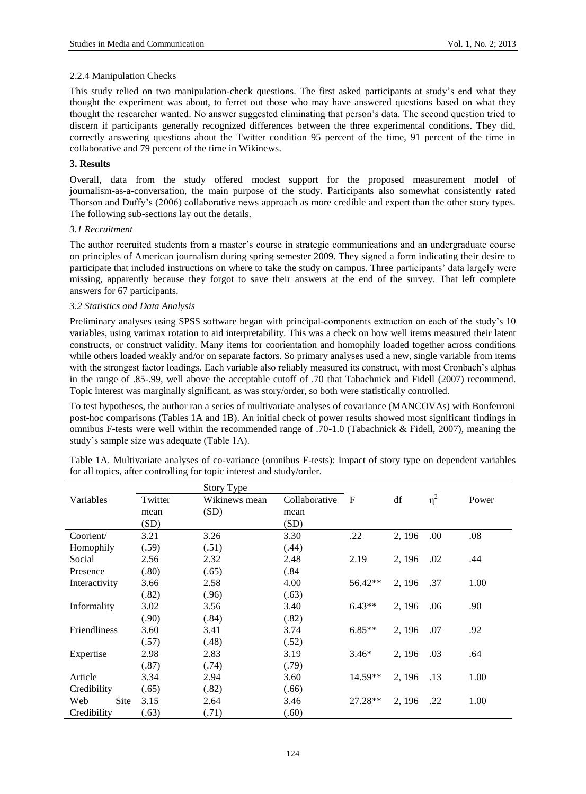## 2.2.4 Manipulation Checks

This study relied on two manipulation-check questions. The first asked participants at study"s end what they thought the experiment was about, to ferret out those who may have answered questions based on what they thought the researcher wanted. No answer suggested eliminating that person"s data. The second question tried to discern if participants generally recognized differences between the three experimental conditions. They did, correctly answering questions about the Twitter condition 95 percent of the time, 91 percent of the time in collaborative and 79 percent of the time in Wikinews.

# **3. Results**

Overall, data from the study offered modest support for the proposed measurement model of journalism-as-a-conversation, the main purpose of the study. Participants also somewhat consistently rated Thorson and Duffy"s (2006) collaborative news approach as more credible and expert than the other story types. The following sub-sections lay out the details.

# *3.1 Recruitment*

The author recruited students from a master's course in strategic communications and an undergraduate course on principles of American journalism during spring semester 2009. They signed a form indicating their desire to participate that included instructions on where to take the study on campus. Three participants" data largely were missing, apparently because they forgot to save their answers at the end of the survey. That left complete answers for 67 participants.

# *3.2 Statistics and Data Analysis*

Preliminary analyses using SPSS software began with principal-components extraction on each of the study"s 10 variables, using varimax rotation to aid interpretability. This was a check on how well items measured their latent constructs, or construct validity. Many items for coorientation and homophily loaded together across conditions while others loaded weakly and/or on separate factors. So primary analyses used a new, single variable from items with the strongest factor loadings. Each variable also reliably measured its construct, with most Cronbach's alphas in the range of .85-.99, well above the acceptable cutoff of .70 that Tabachnick and Fidell (2007) recommend. Topic interest was marginally significant, as was story/order, so both were statistically controlled.

To test hypotheses, the author ran a series of multivariate analyses of covariance (MANCOVAs) with Bonferroni post-hoc comparisons (Tables 1A and 1B). An initial check of power results showed most significant findings in omnibus F-tests were well within the recommended range of .70-1.0 (Tabachnick & Fidell, 2007), meaning the study"s sample size was adequate (Table 1A).

| Table 1A. Multivariate analyses of co-variance (omnibus F-tests): Impact of story type on dependent variables |  |
|---------------------------------------------------------------------------------------------------------------|--|
| for all topics, after controlling for topic interest and study/order.                                         |  |

|               |         | Story Type    |               |              |        |          |       |
|---------------|---------|---------------|---------------|--------------|--------|----------|-------|
| Variables     | Twitter | Wikinews mean | Collaborative | $\mathbf{F}$ | df     | $\eta^2$ | Power |
|               | mean    | (SD)          | mean          |              |        |          |       |
|               | (SD)    |               | (SD)          |              |        |          |       |
| Coorient/     | 3.21    | 3.26          | 3.30          | .22          | 2, 196 | .00      | .08   |
| Homophily     | (.59)   | (.51)         | (.44)         |              |        |          |       |
| Social        | 2.56    | 2.32          | 2.48          | 2.19         | 2, 196 | .02      | .44   |
| Presence      | (.80)   | (.65)         | (.84)         |              |        |          |       |
| Interactivity | 3.66    | 2.58          | 4.00          | 56.42**      | 2, 196 | .37      | 1.00  |
|               | (.82)   | (.96)         | (.63)         |              |        |          |       |
| Informality   | 3.02    | 3.56          | 3.40          | $6.43**$     | 2, 196 | .06      | .90   |
|               | (.90)   | (.84)         | (.82)         |              |        |          |       |
| Friendliness  | 3.60    | 3.41          | 3.74          | $6.85**$     | 2, 196 | .07      | .92   |
|               | (.57)   | (.48)         | (.52)         |              |        |          |       |
| Expertise     | 2.98    | 2.83          | 3.19          | $3.46*$      | 2, 196 | .03      | .64   |
|               | (.87)   | (.74)         | (.79)         |              |        |          |       |
| Article       | 3.34    | 2.94          | 3.60          | $14.59**$    | 2, 196 | .13      | 1.00  |
| Credibility   | (.65)   | (.82)         | (.66)         |              |        |          |       |
| Web<br>Site   | 3.15    | 2.64          | 3.46          | 27.28**      | 2, 196 | .22      | 1.00  |
| Credibility   | (.63)   | (.71)         | (.60)         |              |        |          |       |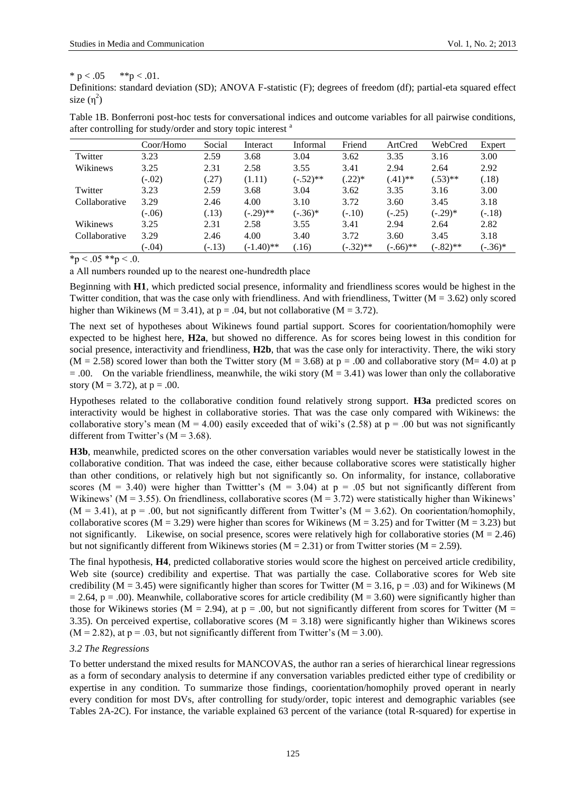# \* p <  $.05$  \*\*p <  $.01$ .

Definitions: standard deviation (SD); ANOVA F-statistic (F); degrees of freedom (df); partial-eta squared effect size  $(\eta^2)$ 

|               | Coor/Homo | Social   | Interact     | Informal    | Friend      | ArtCred     | WebCred     | Expert    |
|---------------|-----------|----------|--------------|-------------|-------------|-------------|-------------|-----------|
| Twitter       | 3.23      | 2.59     | 3.68         | 3.04        | 3.62        | 3.35        | 3.16        | 3.00      |
| Wikinews      | 3.25      | 2.31     | 2.58         | 3.55        | 3.41        | 2.94        | 2.64        | 2.92      |
|               | $(-.02)$  | (.27)    | (1.11)       | $(-.52)$ ** | $(.22)*$    | $(.41)$ **  | $(.53)$ **  | (.18)     |
| Twitter       | 3.23      | 2.59     | 3.68         | 3.04        | 3.62        | 3.35        | 3.16        | 3.00      |
| Collaborative | 3.29      | 2.46     | 4.00         | 3.10        | 3.72        | 3.60        | 3.45        | 3.18      |
|               | $(-.06)$  | (.13)    | $(-.29)$ **  | $(-.36)*$   | $(-.10)$    | $(-.25)$    | $(-.29)$ *  | $(-.18)$  |
| Wikinews      | 3.25      | 2.31     | 2.58         | 3.55        | 3.41        | 2.94        | 2.64        | 2.82      |
| Collaborative | 3.29      | 2.46     | 4.00         | 3.40        | 3.72        | 3.60        | 3.45        | 3.18      |
|               | $(-.04)$  | $(-.13)$ | $(-1.40)$ ** | .16)        | $(-.32)$ ** | $(-.66)$ ** | $(-.82)$ ** | $(-.36)*$ |

Table 1B. Bonferroni post-hoc tests for conversational indices and outcome variables for all pairwise conditions, after controlling for study/order and story topic interest <sup>a</sup>

 $*_p$  < .05  $**_p$  < .0.

a All numbers rounded up to the nearest one-hundredth place

Beginning with **H1**, which predicted social presence, informality and friendliness scores would be highest in the Twitter condition, that was the case only with friendliness. And with friendliness, Twitter ( $M = 3.62$ ) only scored higher than Wikinews ( $M = 3.41$ ), at  $p = .04$ , but not collaborative ( $M = 3.72$ ).

The next set of hypotheses about Wikinews found partial support. Scores for coorientation/homophily were expected to be highest here, **H2a**, but showed no difference. As for scores being lowest in this condition for social presence, interactivity and friendliness, **H2b**, that was the case only for interactivity. There, the wiki story  $(M = 2.58)$  scored lower than both the Twitter story  $(M = 3.68)$  at p = .00 and collaborative story  $(M = 4.0)$  at p  $= .00$ . On the variable friendliness, meanwhile, the wiki story (M = 3.41) was lower than only the collaborative story ( $M = 3.72$ ), at  $p = .00$ .

Hypotheses related to the collaborative condition found relatively strong support. **H3a** predicted scores on interactivity would be highest in collaborative stories. That was the case only compared with Wikinews: the collaborative story's mean (M = 4.00) easily exceeded that of wiki's (2.58) at  $p = .00$  but was not significantly different from Twitter's  $(M = 3.68)$ .

**H3b**, meanwhile, predicted scores on the other conversation variables would never be statistically lowest in the collaborative condition. That was indeed the case, either because collaborative scores were statistically higher than other conditions, or relatively high but not significantly so. On informality, for instance, collaborative scores ( $M = 3.40$ ) were higher than Twittter's ( $M = 3.04$ ) at  $p = .05$  but not significantly different from Wikinews' ( $M = 3.55$ ). On friendliness, collaborative scores ( $M = 3.72$ ) were statistically higher than Wikinews'  $(M = 3.41)$ , at  $p = .00$ , but not significantly different from Twitter's  $(M = 3.62)$ . On coorientation/homophily, collaborative scores ( $M = 3.29$ ) were higher than scores for Wikinews ( $M = 3.25$ ) and for Twitter ( $M = 3.23$ ) but not significantly. Likewise, on social presence, scores were relatively high for collaborative stories  $(M = 2.46)$ but not significantly different from Wikinews stories ( $M = 2.31$ ) or from Twitter stories ( $M = 2.59$ ).

The final hypothesis, **H4**, predicted collaborative stories would score the highest on perceived article credibility, Web site (source) credibility and expertise. That was partially the case. Collaborative scores for Web site credibility ( $M = 3.45$ ) were significantly higher than scores for Twitter ( $M = 3.16$ , p = .03) and for Wikinews (M  $= 2.64$ , p = .00). Meanwhile, collaborative scores for article credibility (M = 3.60) were significantly higher than those for Wikinews stories ( $M = 2.94$ ), at  $p = .00$ , but not significantly different from scores for Twitter ( $M =$ 3.35). On perceived expertise, collaborative scores  $(M = 3.18)$  were significantly higher than Wikinews scores  $(M = 2.82)$ , at  $p = .03$ , but not significantly different from Twitter's  $(M = 3.00)$ .

# *3.2 The Regressions*

To better understand the mixed results for MANCOVAS, the author ran a series of hierarchical linear regressions as a form of secondary analysis to determine if any conversation variables predicted either type of credibility or expertise in any condition. To summarize those findings, coorientation/homophily proved operant in nearly every condition for most DVs, after controlling for study/order, topic interest and demographic variables (see Tables 2A-2C). For instance, the variable explained 63 percent of the variance (total R-squared) for expertise in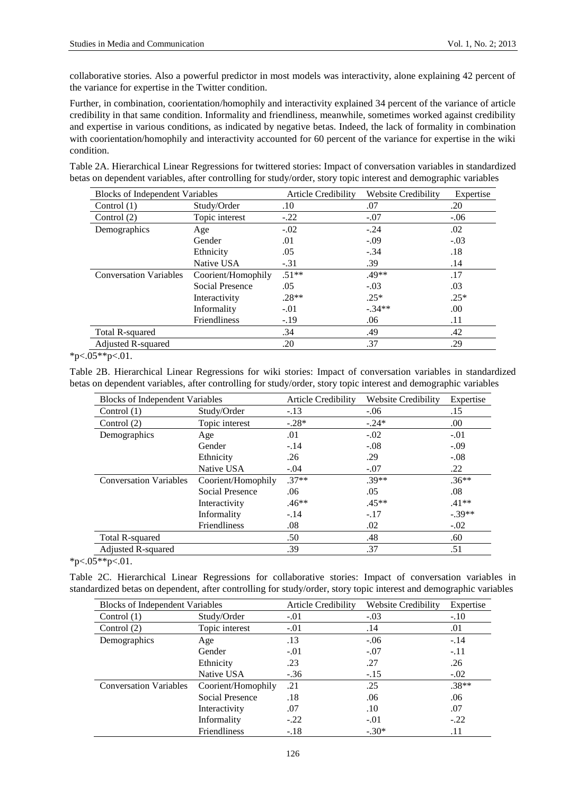collaborative stories. Also a powerful predictor in most models was interactivity, alone explaining 42 percent of the variance for expertise in the Twitter condition.

Further, in combination, coorientation/homophily and interactivity explained 34 percent of the variance of article credibility in that same condition. Informality and friendliness, meanwhile, sometimes worked against credibility and expertise in various conditions, as indicated by negative betas. Indeed, the lack of formality in combination with coorientation/homophily and interactivity accounted for 60 percent of the variance for expertise in the wiki condition.

Table 2A. Hierarchical Linear Regressions for twittered stories: Impact of conversation variables in standardized betas on dependent variables, after controlling for study/order, story topic interest and demographic variables

| <b>Blocks of Independent Variables</b> |                        | <b>Article Credibility</b> | <b>Website Credibility</b> | Expertise |
|----------------------------------------|------------------------|----------------------------|----------------------------|-----------|
| Control $(1)$                          | Study/Order            | .10                        | .07                        | .20       |
| Control $(2)$                          | Topic interest         | $-.22$                     | $-.07$                     | $-.06$    |
| Demographics                           | Age                    | $-.02$                     | $-.24$                     | .02       |
|                                        | Gender                 | .01                        | $-.09$                     | $-.03$    |
|                                        | Ethnicity              | .05                        | $-.34$                     | .18       |
|                                        | Native USA             | $-.31$                     | .39                        | .14       |
| <b>Conversation Variables</b>          | Coorient/Homophily     | $.51**$                    | $.49**$                    | .17       |
|                                        | <b>Social Presence</b> | .05                        | $-.03$                     | .03       |
|                                        | Interactivity          | $.28**$                    | $.25*$                     | $.25*$    |
|                                        | Informality            | $-.01$                     | $-.34**$                   | .00       |
|                                        | <b>Friendliness</b>    | $-.19$                     | .06                        | .11       |
| Total R-squared                        |                        | .34                        | .49                        | .42       |
| <b>Adjusted R-squared</b>              |                        | .20                        | .37                        | .29       |

 $*p<.05**p<.01$ .

Table 2B. Hierarchical Linear Regressions for wiki stories: Impact of conversation variables in standardized betas on dependent variables, after controlling for study/order, story topic interest and demographic variables

| <b>Blocks of Independent Variables</b> |                        | <b>Article Credibility</b> | <b>Website Credibility</b> | Expertise |
|----------------------------------------|------------------------|----------------------------|----------------------------|-----------|
| Control $(1)$                          | Study/Order            | $-.13$                     | $-.06$                     | .15       |
| Control $(2)$                          | Topic interest         | $-.28*$                    | $-.24*$                    | .00       |
| Demographics                           | Age                    | .01                        | $-.02$                     | $-.01$    |
|                                        | Gender                 | $-.14$                     | $-.08$                     | $-.09$    |
|                                        | Ethnicity              | .26                        | .29                        | $-.08$    |
|                                        | Native USA             | $-.04$                     | $-.07$                     | .22       |
| <b>Conversation Variables</b>          | Coorient/Homophily     | $.37**$                    | $.39**$                    | $.36**$   |
|                                        | <b>Social Presence</b> | .06                        | .05                        | .08       |
|                                        | Interactivity          | $.46**$                    | $.45**$                    | $.41**$   |
|                                        | Informality            | $-.14$                     | $-.17$                     | $-.39**$  |
|                                        | Friendliness           | .08                        | .02                        | $-.02$    |
| Total R-squared                        |                        | .50                        | .48                        | .60       |
| Adjusted R-squared                     |                        | .39                        | .37                        | .51       |

 $*_{p < .05**p < .01.}$ 

Table 2C. Hierarchical Linear Regressions for collaborative stories: Impact of conversation variables in standardized betas on dependent, after controlling for study/order, story topic interest and demographic variables

| <b>Blocks of Independent Variables</b> |                        | Article Credibility | Website Credibility | Expertise |
|----------------------------------------|------------------------|---------------------|---------------------|-----------|
| Control $(1)$                          | Study/Order            | $-.01$              | $-.03$              | $-.10$    |
| Control $(2)$                          | Topic interest         | $-.01$              | .14                 | .01       |
| Demographics                           | Age                    | .13                 | $-.06$              | $-.14$    |
|                                        | Gender                 | $-.01$              | $-.07$              | $-.11$    |
|                                        | Ethnicity              | .23                 | .27                 | .26       |
|                                        | Native USA             | $-.36$              | $-.15$              | $-.02$    |
| <b>Conversation Variables</b>          | Coorient/Homophily     | .21                 | .25                 | $.38**$   |
|                                        | <b>Social Presence</b> | .18                 | .06                 | .06       |
|                                        | Interactivity          | .07                 | .10                 | .07       |
|                                        | Informality            | $-.22$              | $-.01$              | $-.22$    |
|                                        | <b>Friendliness</b>    | $-.18$              | $-.30*$             | .11       |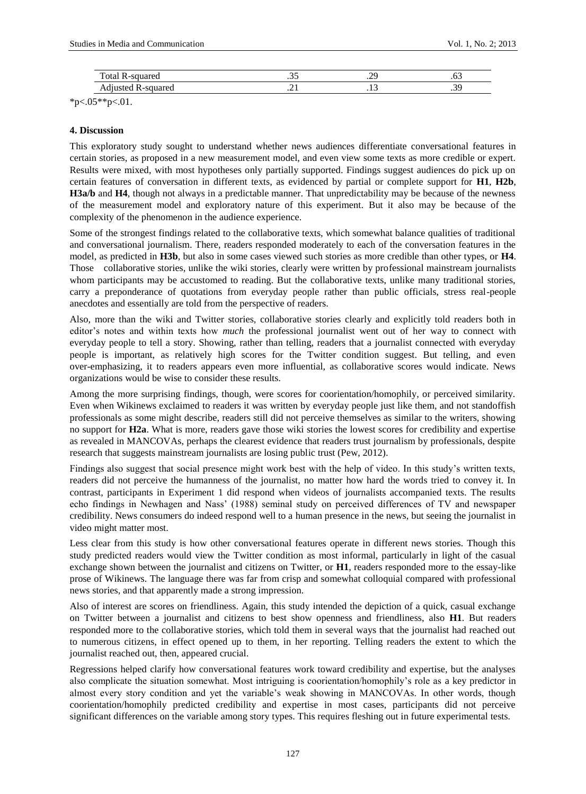| --<br>`ota<br>$\mathbf{v}$<br>. | $\ddotsc$ | n,<br>$\sim$ | ٠ν.           |
|---------------------------------|-----------|--------------|---------------|
| $\cdot$<br>Au<br>uu             | $-1$      | .            | $\sim$<br>ر ب |

 $*p<.05**p<.01$ .

# **4. Discussion**

This exploratory study sought to understand whether news audiences differentiate conversational features in certain stories, as proposed in a new measurement model, and even view some texts as more credible or expert. Results were mixed, with most hypotheses only partially supported. Findings suggest audiences do pick up on certain features of conversation in different texts, as evidenced by partial or complete support for **H1**, **H2b**, **H3a/b** and **H4**, though not always in a predictable manner. That unpredictability may be because of the newness of the measurement model and exploratory nature of this experiment. But it also may be because of the complexity of the phenomenon in the audience experience.

Some of the strongest findings related to the collaborative texts, which somewhat balance qualities of traditional and conversational journalism. There, readers responded moderately to each of the conversation features in the model, as predicted in **H3b**, but also in some cases viewed such stories as more credible than other types, or **H4**. Those collaborative stories, unlike the wiki stories, clearly were written by professional mainstream journalists whom participants may be accustomed to reading. But the collaborative texts, unlike many traditional stories, carry a preponderance of quotations from everyday people rather than public officials, stress real-people anecdotes and essentially are told from the perspective of readers.

Also, more than the wiki and Twitter stories, collaborative stories clearly and explicitly told readers both in editor's notes and within texts how *much* the professional journalist went out of her way to connect with everyday people to tell a story. Showing, rather than telling, readers that a journalist connected with everyday people is important, as relatively high scores for the Twitter condition suggest. But telling, and even over-emphasizing, it to readers appears even more influential, as collaborative scores would indicate. News organizations would be wise to consider these results.

Among the more surprising findings, though, were scores for coorientation/homophily, or perceived similarity. Even when Wikinews exclaimed to readers it was written by everyday people just like them, and not standoffish professionals as some might describe, readers still did not perceive themselves as similar to the writers, showing no support for **H2a**. What is more, readers gave those wiki stories the lowest scores for credibility and expertise as revealed in MANCOVAs, perhaps the clearest evidence that readers trust journalism by professionals, despite research that suggests mainstream journalists are losing public trust (Pew, 2012).

Findings also suggest that social presence might work best with the help of video. In this study"s written texts, readers did not perceive the humanness of the journalist, no matter how hard the words tried to convey it. In contrast, participants in Experiment 1 did respond when videos of journalists accompanied texts. The results echo findings in Newhagen and Nass" (1988) seminal study on perceived differences of TV and newspaper credibility. News consumers do indeed respond well to a human presence in the news, but seeing the journalist in video might matter most.

Less clear from this study is how other conversational features operate in different news stories. Though this study predicted readers would view the Twitter condition as most informal, particularly in light of the casual exchange shown between the journalist and citizens on Twitter, or **H1**, readers responded more to the essay-like prose of Wikinews. The language there was far from crisp and somewhat colloquial compared with professional news stories, and that apparently made a strong impression.

Also of interest are scores on friendliness. Again, this study intended the depiction of a quick, casual exchange on Twitter between a journalist and citizens to best show openness and friendliness, also **H1**. But readers responded more to the collaborative stories, which told them in several ways that the journalist had reached out to numerous citizens, in effect opened up to them, in her reporting. Telling readers the extent to which the journalist reached out, then, appeared crucial.

Regressions helped clarify how conversational features work toward credibility and expertise, but the analyses also complicate the situation somewhat. Most intriguing is coorientation/homophily"s role as a key predictor in almost every story condition and yet the variable"s weak showing in MANCOVAs. In other words, though coorientation/homophily predicted credibility and expertise in most cases, participants did not perceive significant differences on the variable among story types. This requires fleshing out in future experimental tests.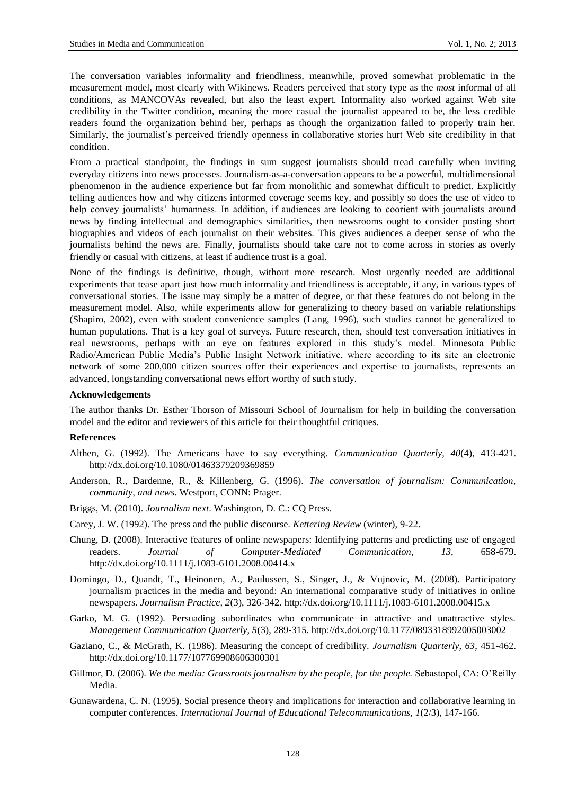The conversation variables informality and friendliness, meanwhile, proved somewhat problematic in the measurement model, most clearly with Wikinews. Readers perceived that story type as the *most* informal of all conditions, as MANCOVAs revealed, but also the least expert. Informality also worked against Web site credibility in the Twitter condition, meaning the more casual the journalist appeared to be, the less credible readers found the organization behind her, perhaps as though the organization failed to properly train her. Similarly, the journalist"s perceived friendly openness in collaborative stories hurt Web site credibility in that condition.

From a practical standpoint, the findings in sum suggest journalists should tread carefully when inviting everyday citizens into news processes. Journalism-as-a-conversation appears to be a powerful, multidimensional phenomenon in the audience experience but far from monolithic and somewhat difficult to predict. Explicitly telling audiences how and why citizens informed coverage seems key, and possibly so does the use of video to help convey journalists' humanness. In addition, if audiences are looking to coorient with journalists around news by finding intellectual and demographics similarities, then newsrooms ought to consider posting short biographies and videos of each journalist on their websites. This gives audiences a deeper sense of who the journalists behind the news are. Finally, journalists should take care not to come across in stories as overly friendly or casual with citizens, at least if audience trust is a goal.

None of the findings is definitive, though, without more research. Most urgently needed are additional experiments that tease apart just how much informality and friendliness is acceptable, if any, in various types of conversational stories. The issue may simply be a matter of degree, or that these features do not belong in the measurement model. Also, while experiments allow for generalizing to theory based on variable relationships (Shapiro, 2002), even with student convenience samples (Lang, 1996), such studies cannot be generalized to human populations. That is a key goal of surveys. Future research, then, should test conversation initiatives in real newsrooms, perhaps with an eye on features explored in this study"s model. Minnesota Public Radio/American Public Media"s Public Insight Network initiative, where according to its site an electronic network of some 200,000 citizen sources offer their experiences and expertise to journalists, represents an advanced, longstanding conversational news effort worthy of such study.

## **Acknowledgements**

The author thanks Dr. Esther Thorson of Missouri School of Journalism for help in building the conversation model and the editor and reviewers of this article for their thoughtful critiques.

## **References**

- Althen, G. (1992). The Americans have to say everything. *Communication Quarterly, 40*(4), 413-421. http://dx.doi.org/10.1080/01463379209369859
- Anderson, R., Dardenne, R., & Killenberg, G. (1996). *The conversation of journalism: Communication, community, and news*. Westport, CONN: Prager.
- Briggs, M. (2010). *Journalism next*. Washington, D. C.: CQ Press.
- Carey, J. W. (1992). The press and the public discourse. *Kettering Review* (winter), 9-22.
- Chung, D. (2008). Interactive features of online newspapers: Identifying patterns and predicting use of engaged readers. *Journal of Computer-Mediated Communication*, *13*, 658-679. http://dx.doi.org/10.1111/j.1083-6101.2008.00414.x
- Domingo, D., Quandt, T., Heinonen, A., Paulussen, S., Singer, J., & Vujnovic, M. (2008). Participatory journalism practices in the media and beyond: An international comparative study of initiatives in online newspapers. *Journalism Practice, 2*(3), 326-342. http://dx.doi.org/10.1111/j.1083-6101.2008.00415.x
- Garko, M. G. (1992). Persuading subordinates who communicate in attractive and unattractive styles. *Management Communication Quarterly, 5*(3), 289-315. http://dx.doi.org/10.1177/0893318992005003002
- Gaziano, C., & McGrath, K. (1986). Measuring the concept of credibility. *Journalism Quarterly, 63*, 451-462. http://dx.doi.org/10.1177/107769908606300301
- Gillmor, D. (2006). *We the media: Grassroots journalism by the people, for the people*. Sebastopol, CA: O'Reilly Media.
- Gunawardena, C. N. (1995). Social presence theory and implications for interaction and collaborative learning in computer conferences. *International Journal of Educational Telecommunications, 1*(2/3), 147-166.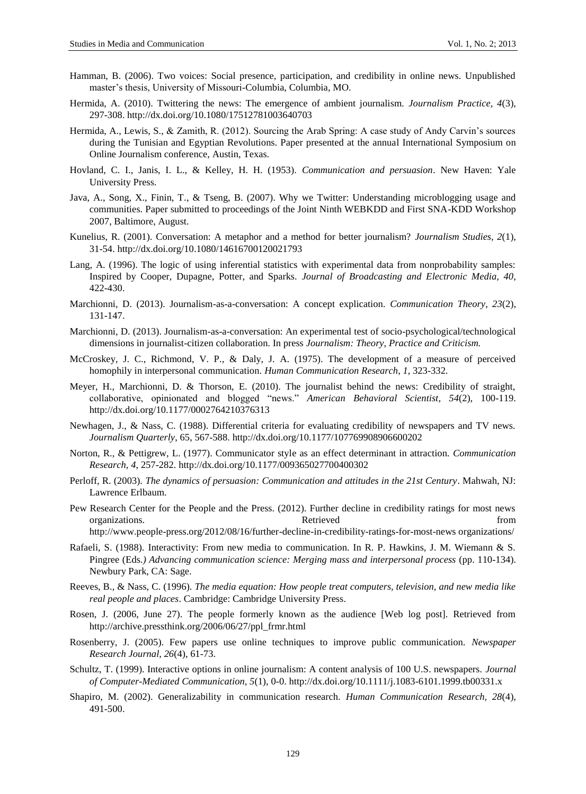- Hamman, B. (2006). Two voices: Social presence, participation, and credibility in online news. Unpublished master"s thesis, University of Missouri-Columbia, Columbia, MO.
- Hermida, A. (2010). Twittering the news: The emergence of ambient journalism. *Journalism Practice, 4*(3), 297-308. http://dx.doi.org/10.1080/17512781003640703
- Hermida, A., Lewis, S., & Zamith, R. (2012). Sourcing the Arab Spring: A case study of Andy Carvin"s sources during the Tunisian and Egyptian Revolutions. Paper presented at the annual International Symposium on Online Journalism conference, Austin, Texas.
- Hovland, C. I., Janis, I. L., & Kelley, H. H. (1953). *Communication and persuasion*. New Haven: Yale University Press.
- Java, A., Song, X., Finin, T., & Tseng, B. (2007). Why we Twitter: Understanding microblogging usage and communities. Paper submitted to proceedings of the Joint Ninth WEBKDD and First SNA-KDD Workshop 2007, Baltimore, August.
- Kunelius, R. (2001). Conversation: A metaphor and a method for better journalism? *Journalism Studies, 2*(1), 31-54. http://dx.doi.org/10.1080/14616700120021793
- Lang, A. (1996). The logic of using inferential statistics with experimental data from nonprobability samples: Inspired by Cooper, Dupagne, Potter, and Sparks. *Journal of Broadcasting and Electronic Media, 40*, 422-430.
- Marchionni, D. (2013). Journalism-as-a-conversation: A concept explication. *Communication Theory*, *23*(2), 131-147.
- Marchionni, D. (2013). Journalism-as-a-conversation: An experimental test of socio-psychological/technological dimensions in journalist-citizen collaboration. In press *Journalism: Theory, Practice and Criticism.*
- McCroskey, J. C., Richmond, V. P., & Daly, J. A. (1975). The development of a measure of perceived homophily in interpersonal communication. *Human Communication Research*, *1*, 323-332.
- Meyer, H., Marchionni, D. & Thorson, E. (2010). The journalist behind the news: Credibility of straight, collaborative, opinionated and blogged "news." *American Behavioral Scientist*, *54*(2), 100-119. http://dx.doi.org/10.1177/0002764210376313
- Newhagen, J., & Nass, C. (1988). Differential criteria for evaluating credibility of newspapers and TV news. *Journalism Quarterly*, 65, 567-588. http://dx.doi.org/10.1177/107769908906600202
- Norton, R., & Pettigrew, L. (1977). Communicator style as an effect determinant in attraction. *Communication Research*, *4*, 257-282. http://dx.doi.org/10.1177/009365027700400302
- Perloff, R. (2003). *The dynamics of persuasion: Communication and attitudes in the 21st Century*. Mahwah, NJ: Lawrence Erlbaum.
- Pew Research Center for the People and the Press. (2012). Further decline in credibility ratings for most news organizations. The contraction of the contraction of the contractions of the contractions of the contraction of the contraction of the contraction of the contraction of the contraction of the contraction of the contraction [http://www.people-press.org/2012/08/16/further-decline-in-credibility-ratings-for-most-news organizations/](http://www.people-press.org/2012/08/16/further-decline-in-credibility-ratings-for-most-news%20organizations/)
- Rafaeli, S. (1988). Interactivity: From new media to communication. In R. P. Hawkins, J. M. Wiemann & S. Pingree (Eds*.) Advancing communication science: Merging mass and interpersonal process* (pp. 110-134). Newbury Park, CA: Sage.
- Reeves, B., & Nass, C. (1996). *The media equation: How people treat computers, television, and new media like real people and places*. Cambridge: Cambridge University Press.
- Rosen, J. (2006, June 27). The people formerly known as the audience [Web log post]. Retrieved from http://archive.pressthink.org/2006/06/27/ppl\_frmr.html
- Rosenberry, J. (2005). Few papers use online techniques to improve public communication. *Newspaper Research Journal, 26*(4), 61-73.
- Schultz, T. (1999). Interactive options in online journalism: A content analysis of 100 U.S. newspapers. *Journal of Computer-Mediated Communication, 5*(1), 0-0. http://dx.doi.org/10.1111/j.1083-6101.1999.tb00331.x
- Shapiro, M. (2002). Generalizability in communication research. *Human Communication Research, 28*(4), 491-500.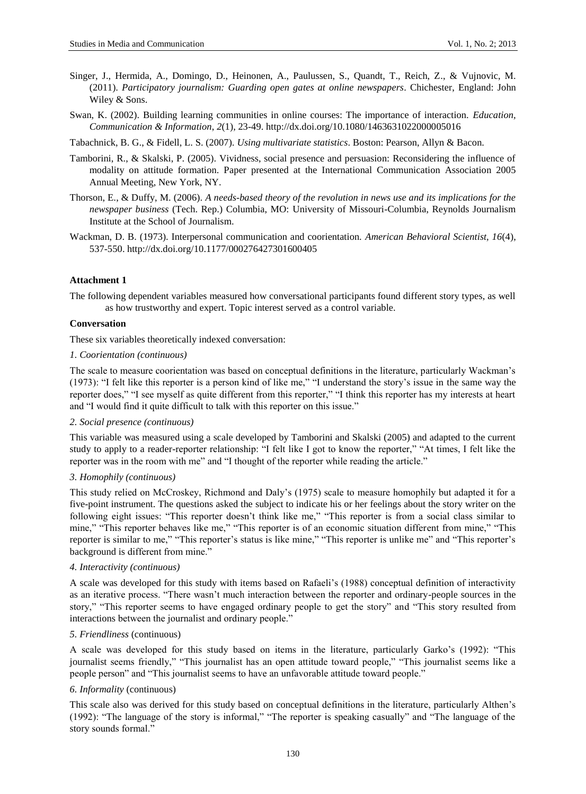- Singer, J., Hermida, A., Domingo, D., Heinonen, A., Paulussen, S., Quandt, T., Reich, Z., & Vujnovic, M. (2011). *Participatory journalism: Guarding open gates at online newspapers*. Chichester, England: John Wiley & Sons.
- Swan, K. (2002). Building learning communities in online courses: The importance of interaction. *Education, Communication & Information*, *2*(1), 23-49. http://dx.doi.org/10.1080/1463631022000005016

Tabachnick, B. G., & Fidell, L. S. (2007). *Using multivariate statistics*. Boston: Pearson, Allyn & Bacon.

- Tamborini, R., & Skalski, P. (2005). Vividness, social presence and persuasion: Reconsidering the influence of modality on attitude formation. Paper presented at the International Communication Association 2005 Annual Meeting, New York, NY.
- Thorson, E., & Duffy, M. (2006). *A needs-based theory of the revolution in news use and its implications for the newspaper business* (Tech. Rep.) Columbia, MO: University of Missouri-Columbia, Reynolds Journalism Institute at the School of Journalism.
- Wackman, D. B. (1973). Interpersonal communication and coorientation. *American Behavioral Scientist, 16*(4), 537-550. http://dx.doi.org/10.1177/000276427301600405

# **Attachment 1**

The following dependent variables measured how conversational participants found different story types, as well as how trustworthy and expert. Topic interest served as a control variable.

# **Conversation**

These six variables theoretically indexed conversation:

## *1. Coorientation (continuous)*

The scale to measure coorientation was based on conceptual definitions in the literature, particularly Wackman's (1973): "I felt like this reporter is a person kind of like me," "I understand the story"s issue in the same way the reporter does," "I see myself as quite different from this reporter," "I think this reporter has my interests at heart and "I would find it quite difficult to talk with this reporter on this issue."

## *2. Social presence (continuous)*

This variable was measured using a scale developed by Tamborini and Skalski (2005) and adapted to the current study to apply to a reader-reporter relationship: "I felt like I got to know the reporter," "At times, I felt like the reporter was in the room with me" and "I thought of the reporter while reading the article."

# *3. Homophily (continuous)*

This study relied on McCroskey, Richmond and Daly"s (1975) scale to measure homophily but adapted it for a five-point instrument. The questions asked the subject to indicate his or her feelings about the story writer on the following eight issues: "This reporter doesn't think like me," "This reporter is from a social class similar to mine," "This reporter behaves like me," "This reporter is of an economic situation different from mine," "This reporter is similar to me," "This reporter's status is like mine," "This reporter is unlike me" and "This reporter's background is different from mine."

## *4. Interactivity (continuous)*

A scale was developed for this study with items based on Rafaeli"s (1988) conceptual definition of interactivity as an iterative process. "There wasn"t much interaction between the reporter and ordinary-people sources in the story," "This reporter seems to have engaged ordinary people to get the story" and "This story resulted from interactions between the journalist and ordinary people."

## *5. Friendliness* (continuous)

A scale was developed for this study based on items in the literature, particularly Garko"s (1992): "This journalist seems friendly," "This journalist has an open attitude toward people," "This journalist seems like a people person" and "This journalist seems to have an unfavorable attitude toward people."

## *6. Informality* (continuous)

This scale also was derived for this study based on conceptual definitions in the literature, particularly Althen"s (1992): "The language of the story is informal," "The reporter is speaking casually" and "The language of the story sounds formal."